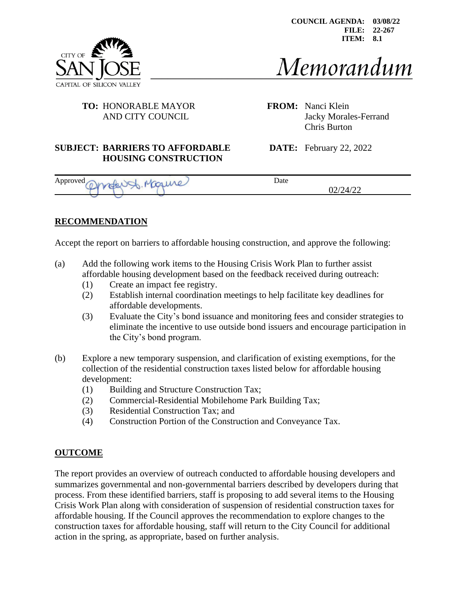

# Memorandum

# **TO:** HONORABLE MAYOR **FROM:** Nanci Klein

AND CITY COUNCIL Jacky Morales-Ferrand Chris Burton

#### **SUBJECT: BARRIERS TO AFFORDABLE DATE:** February 22, 2022 **HOUSING CONSTRUCTION**

| Approved<br><b>Common</b><br>___ | Date                  |  |  |
|----------------------------------|-----------------------|--|--|
|                                  | $\sim$<br>T1 44<br>◡– |  |  |

# **RECOMMENDATION**

Accept the report on barriers to affordable housing construction, and approve the following:

- (a) Add the following work items to the Housing Crisis Work Plan to further assist affordable housing development based on the feedback received during outreach:
	- (1) Create an impact fee registry.
	- (2) Establish internal coordination meetings to help facilitate key deadlines for affordable developments.
	- (3) Evaluate the City's bond issuance and monitoring fees and consider strategies to eliminate the incentive to use outside bond issuers and encourage participation in the City's bond program.
- (b) Explore a new temporary suspension, and clarification of existing exemptions, for the collection of the residential construction taxes listed below for affordable housing development:
	- (1) Building and Structure Construction Tax;
	- (2) Commercial-Residential Mobilehome Park Building Tax;
	- (3) Residential Construction Tax; and
	- (4) Construction Portion of the Construction and Conveyance Tax.

# **OUTCOME**

The report provides an overview of outreach conducted to affordable housing developers and summarizes governmental and non-governmental barriers described by developers during that process. From these identified barriers, staff is proposing to add several items to the Housing Crisis Work Plan along with consideration of suspension of residential construction taxes for affordable housing. If the Council approves the recommendation to explore changes to the construction taxes for affordable housing, staff will return to the City Council for additional action in the spring, as appropriate, based on further analysis.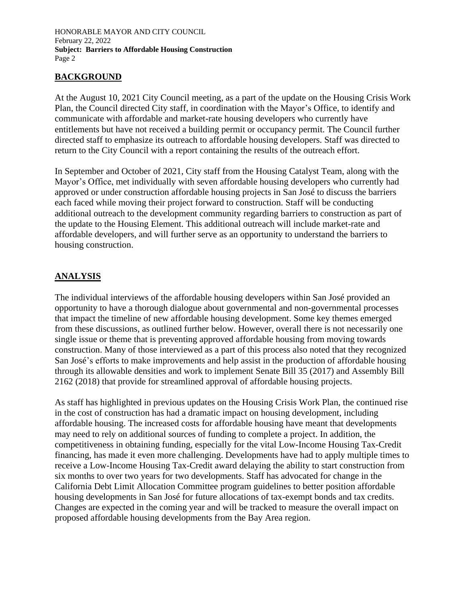# **BACKGROUND**

At the August 10, 2021 City Council meeting, as a part of the update on the Housing Crisis Work Plan, the Council directed City staff, in coordination with the Mayor's Office, to identify and communicate with affordable and market-rate housing developers who currently have entitlements but have not received a building permit or occupancy permit. The Council further directed staff to emphasize its outreach to affordable housing developers. Staff was directed to return to the City Council with a report containing the results of the outreach effort.

In September and October of 2021, City staff from the Housing Catalyst Team, along with the Mayor's Office, met individually with seven affordable housing developers who currently had approved or under construction affordable housing projects in San José to discuss the barriers each faced while moving their project forward to construction. Staff will be conducting additional outreach to the development community regarding barriers to construction as part of the update to the Housing Element. This additional outreach will include market-rate and affordable developers, and will further serve as an opportunity to understand the barriers to housing construction.

# **ANALYSIS**

The individual interviews of the affordable housing developers within San José provided an opportunity to have a thorough dialogue about governmental and non-governmental processes that impact the timeline of new affordable housing development. Some key themes emerged from these discussions, as outlined further below. However, overall there is not necessarily one single issue or theme that is preventing approved affordable housing from moving towards construction. Many of those interviewed as a part of this process also noted that they recognized San José's efforts to make improvements and help assist in the production of affordable housing through its allowable densities and work to implement Senate Bill 35 (2017) and Assembly Bill 2162 (2018) that provide for streamlined approval of affordable housing projects.

As staff has highlighted in previous updates on the Housing Crisis Work Plan, the continued rise in the cost of construction has had a dramatic impact on housing development, including affordable housing. The increased costs for affordable housing have meant that developments may need to rely on additional sources of funding to complete a project. In addition, the competitiveness in obtaining funding, especially for the vital Low-Income Housing Tax-Credit financing, has made it even more challenging. Developments have had to apply multiple times to receive a Low-Income Housing Tax-Credit award delaying the ability to start construction from six months to over two years for two developments. Staff has advocated for change in the California Debt Limit Allocation Committee program guidelines to better position affordable housing developments in San José for future allocations of tax-exempt bonds and tax credits. Changes are expected in the coming year and will be tracked to measure the overall impact on proposed affordable housing developments from the Bay Area region.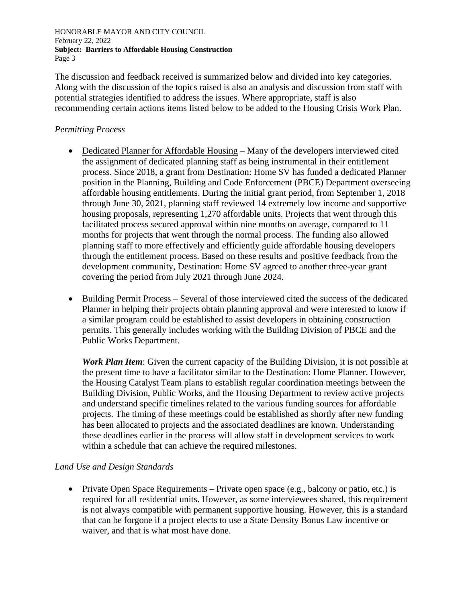The discussion and feedback received is summarized below and divided into key categories. Along with the discussion of the topics raised is also an analysis and discussion from staff with potential strategies identified to address the issues. Where appropriate, staff is also recommending certain actions items listed below to be added to the Housing Crisis Work Plan.

#### *Permitting Process*

- Dedicated Planner for Affordable Housing Many of the developers interviewed cited the assignment of dedicated planning staff as being instrumental in their entitlement process. Since 2018, a grant from Destination: Home SV has funded a dedicated Planner position in the Planning, Building and Code Enforcement (PBCE) Department overseeing affordable housing entitlements. During the initial grant period, from September 1, 2018 through June 30, 2021, planning staff reviewed 14 extremely low income and supportive housing proposals, representing 1,270 affordable units. Projects that went through this facilitated process secured approval within nine months on average, compared to 11 months for projects that went through the normal process. The funding also allowed planning staff to more effectively and efficiently guide affordable housing developers through the entitlement process. Based on these results and positive feedback from the development community, Destination: Home SV agreed to another three-year grant covering the period from July 2021 through June 2024.
- Building Permit Process Several of those interviewed cited the success of the dedicated Planner in helping their projects obtain planning approval and were interested to know if a similar program could be established to assist developers in obtaining construction permits. This generally includes working with the Building Division of PBCE and the Public Works Department.

*Work Plan Item*: Given the current capacity of the Building Division, it is not possible at the present time to have a facilitator similar to the Destination: Home Planner. However, the Housing Catalyst Team plans to establish regular coordination meetings between the Building Division, Public Works, and the Housing Department to review active projects and understand specific timelines related to the various funding sources for affordable projects. The timing of these meetings could be established as shortly after new funding has been allocated to projects and the associated deadlines are known. Understanding these deadlines earlier in the process will allow staff in development services to work within a schedule that can achieve the required milestones.

# *Land Use and Design Standards*

• Private Open Space Requirements – Private open space (e.g., balcony or patio, etc.) is required for all residential units. However, as some interviewees shared, this requirement is not always compatible with permanent supportive housing. However, this is a standard that can be forgone if a project elects to use a State Density Bonus Law incentive or waiver, and that is what most have done.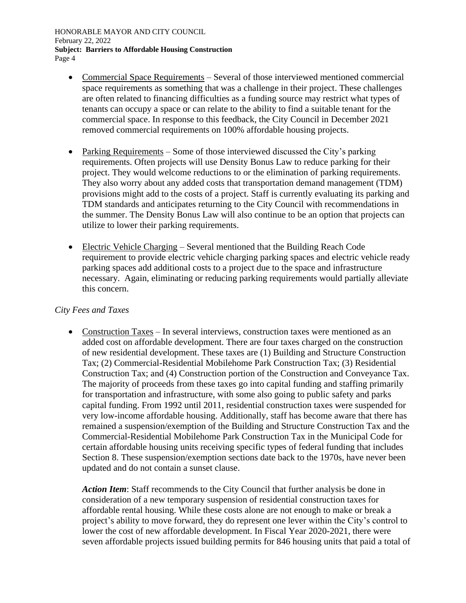- Commercial Space Requirements Several of those interviewed mentioned commercial space requirements as something that was a challenge in their project. These challenges are often related to financing difficulties as a funding source may restrict what types of tenants can occupy a space or can relate to the ability to find a suitable tenant for the commercial space. In response to this feedback, the City Council in December 2021 removed commercial requirements on 100% affordable housing projects.
- Parking Requirements Some of those interviewed discussed the City's parking requirements. Often projects will use Density Bonus Law to reduce parking for their project. They would welcome reductions to or the elimination of parking requirements. They also worry about any added costs that transportation demand management (TDM) provisions might add to the costs of a project. Staff is currently evaluating its parking and TDM standards and anticipates returning to the City Council with recommendations in the summer. The Density Bonus Law will also continue to be an option that projects can utilize to lower their parking requirements.
- Electric Vehicle Charging Several mentioned that the Building Reach Code requirement to provide electric vehicle charging parking spaces and electric vehicle ready parking spaces add additional costs to a project due to the space and infrastructure necessary. Again, eliminating or reducing parking requirements would partially alleviate this concern.

# *City Fees and Taxes*

• Construction Taxes – In several interviews, construction taxes were mentioned as an added cost on affordable development. There are four taxes charged on the construction of new residential development. These taxes are (1) Building and Structure Construction Tax; (2) Commercial-Residential Mobilehome Park Construction Tax; (3) Residential Construction Tax; and (4) Construction portion of the Construction and Conveyance Tax. The majority of proceeds from these taxes go into capital funding and staffing primarily for transportation and infrastructure, with some also going to public safety and parks capital funding. From 1992 until 2011, residential construction taxes were suspended for very low-income affordable housing. Additionally, staff has become aware that there has remained a suspension/exemption of the Building and Structure Construction Tax and the Commercial-Residential Mobilehome Park Construction Tax in the Municipal Code for certain affordable housing units receiving specific types of federal funding that includes Section 8. These suspension/exemption sections date back to the 1970s, have never been updated and do not contain a sunset clause.

*Action Item*: Staff recommends to the City Council that further analysis be done in consideration of a new temporary suspension of residential construction taxes for affordable rental housing. While these costs alone are not enough to make or break a project's ability to move forward, they do represent one lever within the City's control to lower the cost of new affordable development. In Fiscal Year 2020-2021, there were seven affordable projects issued building permits for 846 housing units that paid a total of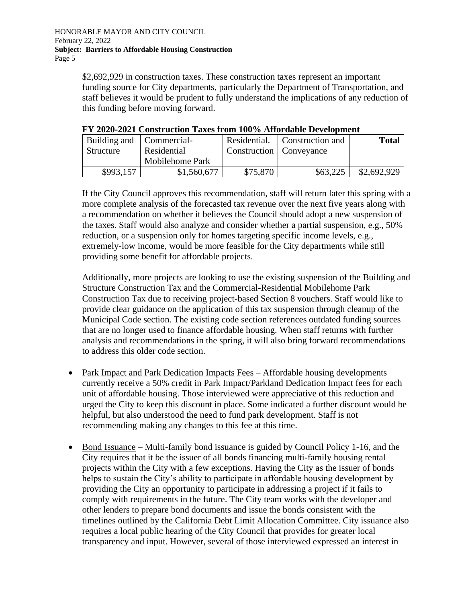\$2,692,929 in construction taxes. These construction taxes represent an important funding source for City departments, particularly the Department of Transportation, and staff believes it would be prudent to fully understand the implications of any reduction of this funding before moving forward.

| т т дуду дудт сумум исмун тился нум туу ту танугаарга детеринени |                 |                           |                                 |              |  |
|------------------------------------------------------------------|-----------------|---------------------------|---------------------------------|--------------|--|
| Building and   Commercial-                                       |                 |                           | Residential.   Construction and | <b>Total</b> |  |
| Structure                                                        | Residential     | Construction   Conveyance |                                 |              |  |
|                                                                  | Mobilehome Park |                           |                                 |              |  |
| \$993,157                                                        | \$1,560,677     | \$75,870                  | \$63,225                        | \$2,692,929  |  |

# **FY 2020-2021 Construction Taxes from 100% Affordable Development**

If the City Council approves this recommendation, staff will return later this spring with a more complete analysis of the forecasted tax revenue over the next five years along with a recommendation on whether it believes the Council should adopt a new suspension of the taxes. Staff would also analyze and consider whether a partial suspension, e.g., 50% reduction, or a suspension only for homes targeting specific income levels, e.g., extremely-low income, would be more feasible for the City departments while still providing some benefit for affordable projects.

Additionally, more projects are looking to use the existing suspension of the Building and Structure Construction Tax and the Commercial-Residential Mobilehome Park Construction Tax due to receiving project-based Section 8 vouchers. Staff would like to provide clear guidance on the application of this tax suspension through cleanup of the Municipal Code section. The existing code section references outdated funding sources that are no longer used to finance affordable housing. When staff returns with further analysis and recommendations in the spring, it will also bring forward recommendations to address this older code section.

- Park Impact and Park Dedication Impacts Fees Affordable housing developments currently receive a 50% credit in Park Impact/Parkland Dedication Impact fees for each unit of affordable housing. Those interviewed were appreciative of this reduction and urged the City to keep this discount in place. Some indicated a further discount would be helpful, but also understood the need to fund park development. Staff is not recommending making any changes to this fee at this time.
- Bond Issuance Multi-family bond issuance is guided by Council Policy 1-16, and the City requires that it be the issuer of all bonds financing multi-family housing rental projects within the City with a few exceptions. Having the City as the issuer of bonds helps to sustain the City's ability to participate in affordable housing development by providing the City an opportunity to participate in addressing a project if it fails to comply with requirements in the future. The City team works with the developer and other lenders to prepare bond documents and issue the bonds consistent with the timelines outlined by the California Debt Limit Allocation Committee. City issuance also requires a local public hearing of the City Council that provides for greater local transparency and input. However, several of those interviewed expressed an interest in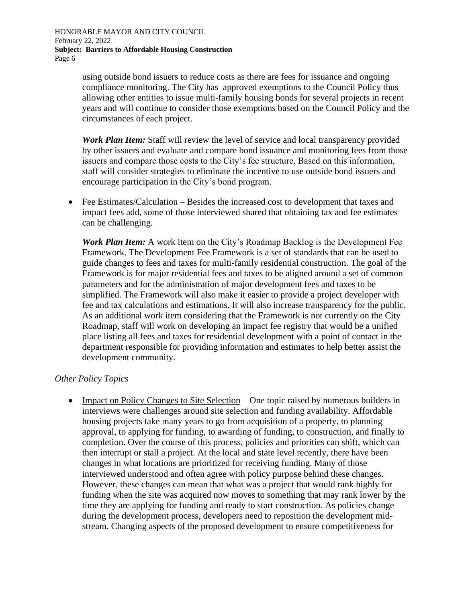> using outside bond issuers to reduce costs as there are fees for issuance and ongoing compliance monitoring. The City has approved exemptions to the Council Policy thus allowing other entities to issue multi-family housing bonds for several projects in recent years and will continue to consider those exemptions based on the Council Policy and the circumstances of each project.

> *Work Plan Item:* Staff will review the level of service and local transparency provided by other issuers and evaluate and compare bond issuance and monitoring fees from those issuers and compare those costs to the City's fee structure. Based on this information, staff will consider strategies to eliminate the incentive to use outside bond issuers and encourage participation in the City's bond program.

• Fee Estimates/Calculation – Besides the increased cost to development that taxes and impact fees add, some of those interviewed shared that obtaining tax and fee estimates can be challenging.

*Work Plan Item:* A work item on the City's Roadmap Backlog is the Development Fee Framework. The Development Fee Framework is a set of standards that can be used to guide changes to fees and taxes for multi-family residential construction. The goal of the Framework is for major residential fees and taxes to be aligned around a set of common parameters and for the administration of major development fees and taxes to be simplified. The Framework will also make it easier to provide a project developer with fee and tax calculations and estimations. It will also increase transparency for the public. As an additional work item considering that the Framework is not currently on the City Roadmap, staff will work on developing an impact fee registry that would be a unified place listing all fees and taxes for residential development with a point of contact in the department responsible for providing information and estimates to help better assist the development community.

#### *Other Policy Topics*

• Impact on Policy Changes to Site Selection – One topic raised by numerous builders in interviews were challenges around site selection and funding availability. Affordable housing projects take many years to go from acquisition of a property, to planning approval, to applying for funding, to awarding of funding, to construction, and finally to completion. Over the course of this process, policies and priorities can shift, which can then interrupt or stall a project. At the local and state level recently, there have been changes in what locations are prioritized for receiving funding. Many of those interviewed understood and often agree with policy purpose behind these changes. However, these changes can mean that what was a project that would rank highly for funding when the site was acquired now moves to something that may rank lower by the time they are applying for funding and ready to start construction. As policies change during the development process, developers need to reposition the development midstream. Changing aspects of the proposed development to ensure competitiveness for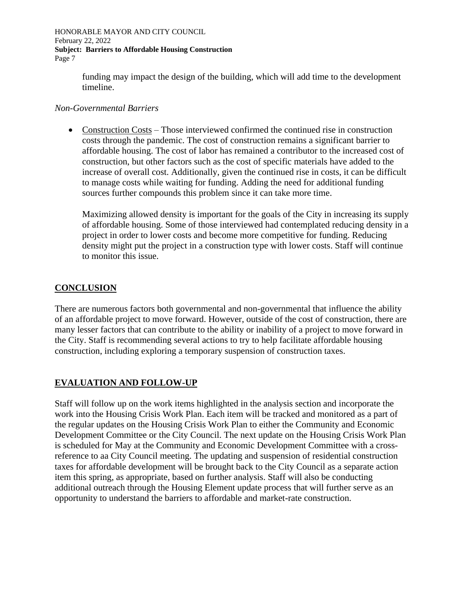> funding may impact the design of the building, which will add time to the development timeline.

#### *Non-Governmental Barriers*

• Construction Costs – Those interviewed confirmed the continued rise in construction costs through the pandemic. The cost of construction remains a significant barrier to affordable housing. The cost of labor has remained a contributor to the increased cost of construction, but other factors such as the cost of specific materials have added to the increase of overall cost. Additionally, given the continued rise in costs, it can be difficult to manage costs while waiting for funding. Adding the need for additional funding sources further compounds this problem since it can take more time.

Maximizing allowed density is important for the goals of the City in increasing its supply of affordable housing. Some of those interviewed had contemplated reducing density in a project in order to lower costs and become more competitive for funding. Reducing density might put the project in a construction type with lower costs. Staff will continue to monitor this issue.

# **CONCLUSION**

There are numerous factors both governmental and non-governmental that influence the ability of an affordable project to move forward. However, outside of the cost of construction, there are many lesser factors that can contribute to the ability or inability of a project to move forward in the City. Staff is recommending several actions to try to help facilitate affordable housing construction, including exploring a temporary suspension of construction taxes.

# **EVALUATION AND FOLLOW-UP**

Staff will follow up on the work items highlighted in the analysis section and incorporate the work into the Housing Crisis Work Plan. Each item will be tracked and monitored as a part of the regular updates on the Housing Crisis Work Plan to either the Community and Economic Development Committee or the City Council. The next update on the Housing Crisis Work Plan is scheduled for May at the Community and Economic Development Committee with a crossreference to aa City Council meeting. The updating and suspension of residential construction taxes for affordable development will be brought back to the City Council as a separate action item this spring, as appropriate, based on further analysis. Staff will also be conducting additional outreach through the Housing Element update process that will further serve as an opportunity to understand the barriers to affordable and market-rate construction.